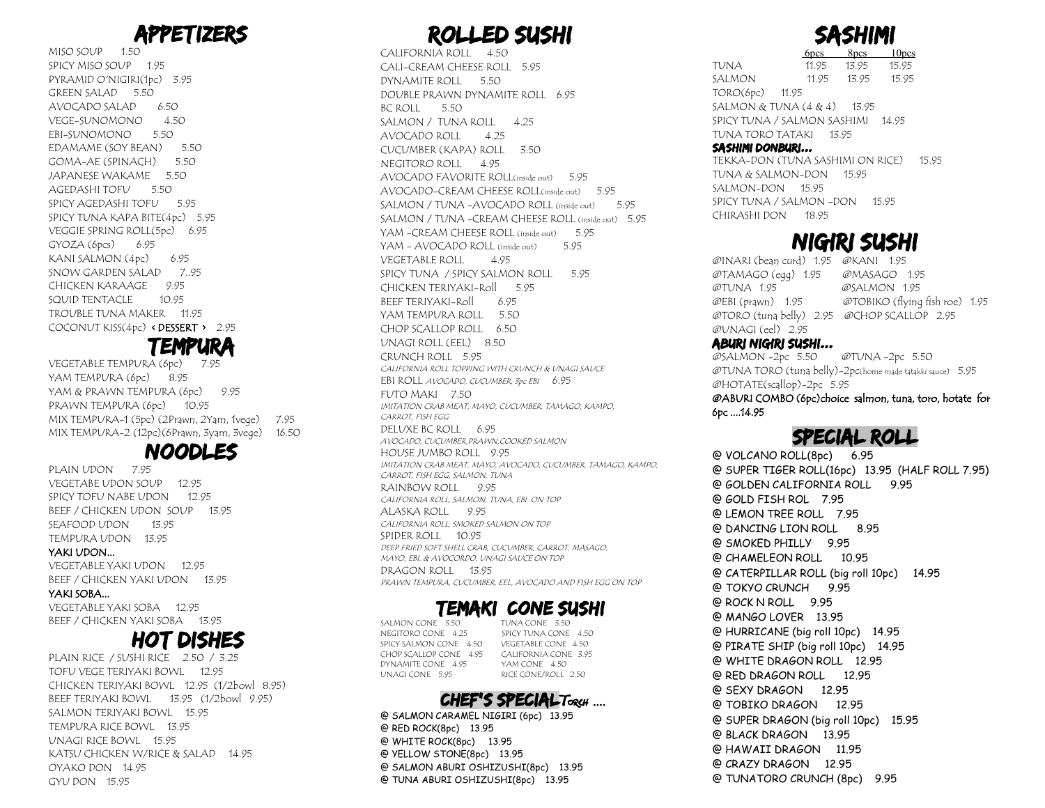## APPETIZERS

MISO SOUP<sub>1.50</sub> SPICY MISO SOUP 1.95 PYRAMID O'NIGIRI(1pc) 3.95 GREEN SALAD 5.50 AVOCADO SALAD 6.50 VEGE-SUNOMONO 4.50 EBI-SUNOMONO 5.50 EDAMAME (SOY BEAN) 5.50 GOMA-AE (SPINACH) 5.50 JAPANESE WAKAME 5.50 AGEDASHI TOFU 5.50 SPICY AGEDASHI TOFU 5.95 SPICY TUNA KAPA BITE(4pc) 5.95 VEGGIE SPRING ROLL(5pc) 6.95 GYOZA (6pcs) 6.95 KANI SALMON $(4pc)$  6.95 SNOW GARDEN SALAD 7..95 CHICKEN KARAAGE 9.95 SQUID TENTACLE 10.95 TROUBLE TUNA MAKER 11.95 COCONUT KISS(4pc) < DESSERT > 2.95

### **TEMP**

VEGETABLE TEMPURA (6pc) 7.95 YAM TEMPURA (6pc) 8.95 YAM & PRAWN TEMPURA (6pc) 9.95 PRAWN TEMPURA (6pc) 10.95 MIX TEMPURA-1 (5pc) (2Prawn, 2Yam, 1vege) 7.95 MIX TEMPURA-2 (12pc)(6Prawn, 3yam, 3vege) 16.50

#### NOOD

PLAIN UDON 7.95 VEGETABE UDON SOUP 12.95 SPICY TOFU NABE UDON 12.95 BEEF / CHICKEN UDON SOUP 13.95 SEAFOOD UDON 13.95 TEMPURA UDON 13.95

#### YAKI UDON...

VEGETABLE YAKI UDON 12.95 BEEF / CHICKEN YAKI UDON 13.95

#### YAKI SOBA...

VEGETABLE YAKI SOBA 12.95 BEEF / CHICKEN YAKI SOBA 13.95

#### HOT DISHES

PLAIN RICE / SUSHI RICE 2.50 / 3.25 TOFU VEGE TERIYAKI BOWL 12.95 CHICKEN TERIYAKI BOWL 12.95 (1/2bowl 8.95) BEEF TERIYAKI BOWL 13.95 (1/2bowl 9.95) SALMON TERIYAKI BOWL 15.95 TEMPURA RICE BOWL 13.95 UNAGI RICE BOWL 15.95 KATSU CHICKEN W/RICE & SALAD 14.95 OYAKO DON 14.95 GYU DON 15.95

## ROLLED SUSHI

CALIFORNIA ROLL 4.50 CALI-CREAM CHEESE ROLL 5.95 DYNAMITE ROLL 5.50 DOUBLE PRAWN DYNAMITE ROLL 6.95 BC ROLL 5.50 SALMON / TUNA ROLL 4.25 AVOCADO ROLL 4.25 CUCUMBER (KAPA) ROLL 3.50 NEGITORO ROLL 4.95 AVOCADO FAVORITE ROLL(inside out) 5.95 AVOCADO-CREAM CHEESE ROLL(inside out) 5.95 SALMON / TUNA -AVOCADO ROLL (inside out) 5.95 SALMON / TUNA -CREAM CHEESE ROLL (inside out) 5.95 YAM -CREAM CHEESE ROLL (inside out) 5.95 YAM - AVOCADO ROLL (inside out) 5.95 VEGETABLE ROLL 4.95 SPICY TUNA / SPICY SALMON ROLL 5.95 CHICKEN TERIYAKI-Roll 5.95 BEEF TERIYAKI-Roll 6.95 YAM TEMPURA ROLL 5.50 CHOP SCALLOP ROLL 6.50 UNAGI ROLL (EEL) 8.50 CRUNCH ROLL 5.95 CALIFORNIA ROLL TOPPING WITH CRUNCH & UNAGI SAUCE EBI ROLL AVOCADO, CUCUMBER, 3pc EBI 6.95 FUTO MAKI 7.50 IMITATION CRAB MEAT, MAYO, CUCUMBER, TAMAGO, KAMPO, CARROT, FISH EGG DELUXE BC ROLL 6.95 AVOCADO, CUCUMBER,PRAWN,COOKED SALMON HOUSE JUMBO ROLL 9.95 IMITATION CRAB MEAT, MAYO, AVOCADO, CUCUMBER, TAMAGO, KAMPO, CARROT, FISH EGG, SALMON, TUNA RAINBOW ROLL 9.95 CALIFORNIA ROLL, SALMON, TUNA, EBI ON TOP ALASKA ROLL 9.95 CALIFORNIA ROLL, SMOKED SALMON ON TOP SPIDER ROLL 10.95 DEEP FRIED SOFT SHELL CRAB, CUCUMBER, CARROT, MASAGO, MAYO, EBI, & AVOCORDO, UNAGI SAUCE ON TOP DRAGON ROLL 13.95 PRAWN TEMPURA, CUCUMBER, EEL, AVOCADO AND FISH EGG ON TOP

# **TEMAKI CONE SUSHI**<br>3 350 TUNACONE 350

SALMON CONE 3.50<br>NEGITORO CONE 4.25 CHOP SCALLOP CONE 4.95 CALIFORNIA CON<br>
DYNAMITE CONE 4.95 YAM CONE 4.50 DYNAMITE CONE 4.95<br>UNAGI CONE 5.95

SPICY TUNA CONE 4.50<br>VEGETABLE CONE 4.50 SPICY SALMON CONE 4.50 VEGETABLE CONE 4.50<br>CHOP SCALLOP CONE 4.95 CALIFORNIA CONE 3.95 RICE CONE/ROLL 2.50

#### CHEF'S SPECIALTORCH ....

@ SALMON CARAMEL NIGIRI (6pc) 13.95 @ RED ROCK(8pc) 13.95 @ WHITE ROCK(8pc) 13.95 @ YELLOW STONE(8pc) 13.95 @ SALMON ABURI OSHIZUSHI(8pc) 13.95 @ TUNA ABURI OSHIZUSHI(8pc) 13.95



 $10<sub>pres</sub>$ TUNA 11.95 13.95 15.95 SALMON 11.95 13.95 15.95 TORO(6pc) 11.95 SALMON & TUNA (4 & 4) 13.95 SPICY TUNA / SALMON SASHIMI 14.95 TUNA TORO TATAKI 13.95 SASHIMI DONBURI...

#### TEKKA-DON (TUNA SASHIMI ON RICE) 15.95 TUNA & SALMON-DON 15.95 SALMON-DON 15.95 SPICY TUNA / SALMON -DON 15.95

## NIGIRI SUSHI

@INARI (bean curd) 1.95 @KANI 1.95 @TAMAGO (egg) 1.95 @MASAGO 1.95 @TUNA 1.95 @SALMON 1.95 @EBI (prawn) 1.95 @TOBIKO (flying fish roe) 1.95 @TORO (tuna belly) 2.95 @CHOP SCALLOP 2.95 @UNAGI (eel) 2.95

#### ABURI NIGIRI SUSHI...

CHIRASHI DON 18.95

@SALMON -2pc 5.50 @TUNA -2pc 5.50 @TUNA TORO (tuna belly)-2pc(home made tatakki sauce) 5.95 @HOTATE(scallop)-2pc 5.95

@ABURI COMBO (6pc)choice salmon, tuna, toro, hotate for 6pc ....14.95

#### SPECIAL ROLL

@ VOLCANO ROLL(8pc) 6.95 @ SUPER TIGER ROLL(16pc) 13.95 (HALF ROLL 7.95) @ GOLDEN CALIFORNIA ROLL 9.95 @ GOLD FISH ROL 7.95 @ LEMON TREE ROLL 7.95 @ DANCING LION ROLL 8.95 @ SMOKED PHILLY 9.95 @ CHAMELEON ROLL 10.95 @ CATERPILLAR ROLL (big roll 10pc) 14.95 @ TOKYO CRUNCH 9.95 @ ROCK N ROLL 9.95 @ MANGO LOVER 13.95 @ HURRICANE (big roll 10pc) 14.95 @ PIRATE SHIP (big roll 10pc) 14.95 @ WHITE DRAGON ROLL 12.95 @ RED DRAGON ROLL 12.95 @ SEXY DRAGON 12.95 @ TOBIKO DRAGON 12.95 @ SUPER DRAGON (big roll 10pc) 15.95 @ BLACK DRAGON 13.95 @ HAWAII DRAGON 11.95 @ CRAZY DRAGON 12.95 @ TUNATORO CRUNCH (8pc) 9.95